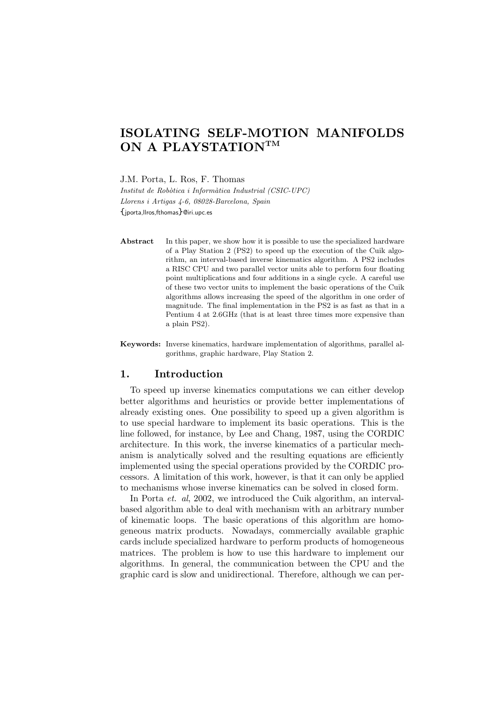# ISOLATING SELF-MOTION MANIFOLDS ON A PLAYSTATIONTM

J.M. Porta, L. Ros, F. Thomas

Institut de Robòtica i Informàtica Industrial (CSIC-UPC) Llorens i Artigas 4-6, 08028-Barcelona, Spain {jporta,llros,fthomas}@iri.upc.es

Abstract In this paper, we show how it is possible to use the specialized hardware of a Play Station 2 (PS2) to speed up the execution of the Cuik algorithm, an interval-based inverse kinematics algorithm. A PS2 includes a RISC CPU and two parallel vector units able to perform four floating point multiplications and four additions in a single cycle. A careful use of these two vector units to implement the basic operations of the Cuik algorithms allows increasing the speed of the algorithm in one order of magnitude. The final implementation in the PS2 is as fast as that in a Pentium 4 at 2.6GHz (that is at least three times more expensive than a plain PS2).

Keywords: Inverse kinematics, hardware implementation of algorithms, parallel algorithms, graphic hardware, Play Station 2.

## 1. Introduction

To speed up inverse kinematics computations we can either develop better algorithms and heuristics or provide better implementations of already existing ones. One possibility to speed up a given algorithm is to use special hardware to implement its basic operations. This is the line followed, for instance, by Lee and Chang, 1987, using the CORDIC architecture. In this work, the inverse kinematics of a particular mechanism is analytically solved and the resulting equations are efficiently implemented using the special operations provided by the CORDIC processors. A limitation of this work, however, is that it can only be applied to mechanisms whose inverse kinematics can be solved in closed form.

In Porta *et. al*, 2002, we introduced the Cuik algorithm, an intervalbased algorithm able to deal with mechanism with an arbitrary number of kinematic loops. The basic operations of this algorithm are homogeneous matrix products. Nowadays, commercially available graphic cards include specialized hardware to perform products of homogeneous matrices. The problem is how to use this hardware to implement our algorithms. In general, the communication between the CPU and the graphic card is slow and unidirectional. Therefore, although we can per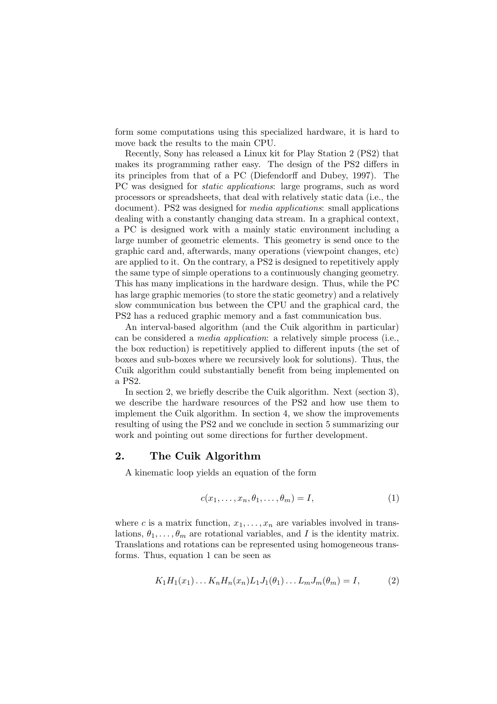form some computations using this specialized hardware, it is hard to move back the results to the main CPU.

Recently, Sony has released a Linux kit for Play Station 2 (PS2) that makes its programming rather easy. The design of the PS2 differs in its principles from that of a PC (Diefendorff and Dubey, 1997). The PC was designed for static applications: large programs, such as word processors or spreadsheets, that deal with relatively static data (i.e., the document). PS2 was designed for media applications: small applications dealing with a constantly changing data stream. In a graphical context, a PC is designed work with a mainly static environment including a large number of geometric elements. This geometry is send once to the graphic card and, afterwards, many operations (viewpoint changes, etc) are applied to it. On the contrary, a PS2 is designed to repetitively apply the same type of simple operations to a continuously changing geometry. This has many implications in the hardware design. Thus, while the PC has large graphic memories (to store the static geometry) and a relatively slow communication bus between the CPU and the graphical card, the PS2 has a reduced graphic memory and a fast communication bus.

An interval-based algorithm (and the Cuik algorithm in particular) can be considered a media application: a relatively simple process (i.e., the box reduction) is repetitively applied to different inputs (the set of boxes and sub-boxes where we recursively look for solutions). Thus, the Cuik algorithm could substantially benefit from being implemented on a PS2.

In section 2, we briefly describe the Cuik algorithm. Next (section 3), we describe the hardware resources of the PS2 and how use them to implement the Cuik algorithm. In section 4, we show the improvements resulting of using the PS2 and we conclude in section 5 summarizing our work and pointing out some directions for further development.

## 2. The Cuik Algorithm

A kinematic loop yields an equation of the form

$$
c(x_1, \ldots, x_n, \theta_1, \ldots, \theta_m) = I,
$$
\n<sup>(1)</sup>

where c is a matrix function,  $x_1, \ldots, x_n$  are variables involved in translations,  $\theta_1, \ldots, \theta_m$  are rotational variables, and I is the identity matrix. Translations and rotations can be represented using homogeneous transforms. Thus, equation 1 can be seen as

$$
K_1H_1(x_1)\dots K_nH_n(x_n)L_1J_1(\theta_1)\dots L_mJ_m(\theta_m) = I,
$$
 (2)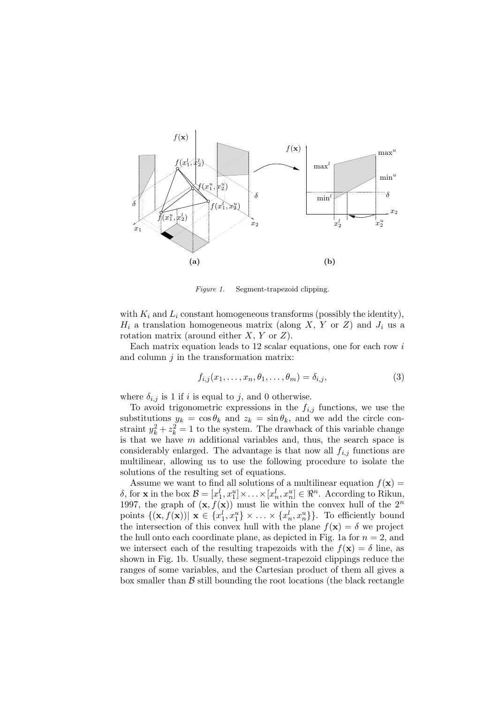#### PSfrag replacements



Figure 1. Segment-trapezoid clipping.

with  $K_i$  and  $L_i$  constant homogeneous transforms (possibly the identity),  $H_i$  a translation homogeneous matrix (along X, Y or Z) and  $J_i$  us a rotation matrix (around either  $X, Y$  or  $Z$ ).

Each matrix equation leads to 12 scalar equations, one for each row  $i$ and column  $j$  in the transformation matrix:

$$
f_{i,j}(x_1,\ldots,x_n,\theta_1,\ldots,\theta_m)=\delta_{i,j},\qquad(3)
$$

where  $\delta_{i,j}$  is 1 if i is equal to j, and 0 otherwise.

To avoid trigonometric expressions in the  $f_{i,j}$  functions, we use the substitutions  $y_k = \cos \theta_k$  and  $z_k = \sin \theta_k$ , and we add the circle constraint  $y_k^2 + z_k^2 = 1$  to the system. The drawback of this variable change is that we have  $m$  additional variables and, thus, the search space is considerably enlarged. The advantage is that now all  $f_{i,j}$  functions are multilinear, allowing us to use the following procedure to isolate the solutions of the resulting set of equations.

Assume we want to find all solutions of a multilinear equation  $f(\mathbf{x}) =$ δ, for **x** in the box  $\mathcal{B} = [x_1^l, x_1^u] \times \ldots \times [x_n^l, x_n^u] \in \Re^n$ . According to Rikun, 1997, the graph of  $(\mathbf{x}, f(\mathbf{x}))$  must lie within the convex hull of the  $2^n$ points  $\{(\mathbf{x}, f(\mathbf{x})) \mid \mathbf{x} \in \{x_1^l, x_1^u\} \times \ldots \times \{x_n^l, x_n^u\}\}.$  To efficiently bound the intersection of this convex hull with the plane  $f(\mathbf{x}) = \delta$  we project the hull onto each coordinate plane, as depicted in Fig. 1a for  $n = 2$ , and we intersect each of the resulting trapezoids with the  $f(\mathbf{x}) = \delta$  line, as shown in Fig. 1b. Usually, these segment-trapezoid clippings reduce the ranges of some variables, and the Cartesian product of them all gives a box smaller than  $\beta$  still bounding the root locations (the black rectangle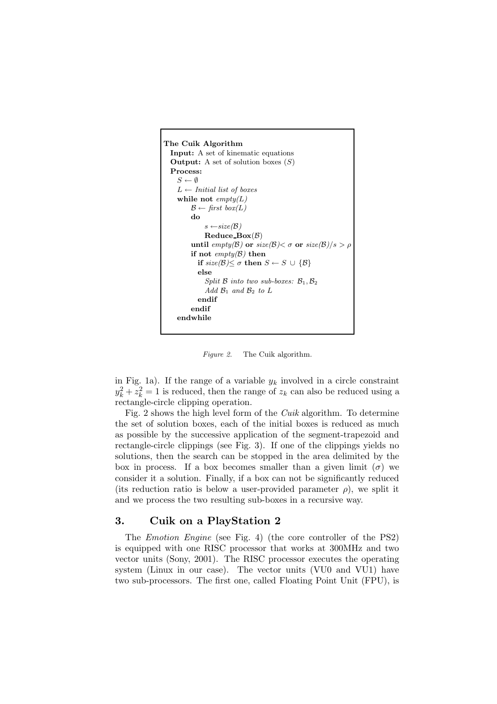```
The Cuik Algorithm
  Input: A set of kinematic equations
  Output: A set of solution boxes (S)Process:
     S \leftarrow \emptysetL \leftarrow Initial list of boxes
     while not \text{empty}(L)\mathcal{B} \leftarrow first box(L)
          do
               s \leftarrow size(B)Reduce_Box(B)until empty(B) or size(B) < \sigma or size(B)/s > \rhoif not empty(\mathcal{B}) then
            if size(\mathcal{B}) \leq \sigma then S \leftarrow S \cup \{\mathcal{B}\}else
               Split \beta into two sub-boxes: \beta_1, \beta_2Add \mathcal{B}_1 and \mathcal{B}_2 to Lendif
          endif
     endwhile
```
Figure 2. The Cuik algorithm.

in Fig. 1a). If the range of a variable  $y_k$  involved in a circle constraint  $y_k^2 + z_k^2 = 1$  is reduced, then the range of  $z_k$  can also be reduced using a rectangle-circle clipping operation.

Fig. 2 shows the high level form of the Cuik algorithm. To determine the set of solution boxes, each of the initial boxes is reduced as much as possible by the successive application of the segment-trapezoid and rectangle-circle clippings (see Fig. 3). If one of the clippings yields no solutions, then the search can be stopped in the area delimited by the box in process. If a box becomes smaller than a given limit  $(\sigma)$  we consider it a solution. Finally, if a box can not be significantly reduced (its reduction ratio is below a user-provided parameter  $\rho$ ), we split it and we process the two resulting sub-boxes in a recursive way.

## 3. Cuik on a PlayStation 2

The Emotion Engine (see Fig. 4) (the core controller of the PS2) is equipped with one RISC processor that works at 300MHz and two vector units (Sony, 2001). The RISC processor executes the operating system (Linux in our case). The vector units (VU0 and VU1) have two sub-processors. The first one, called Floating Point Unit (FPU), is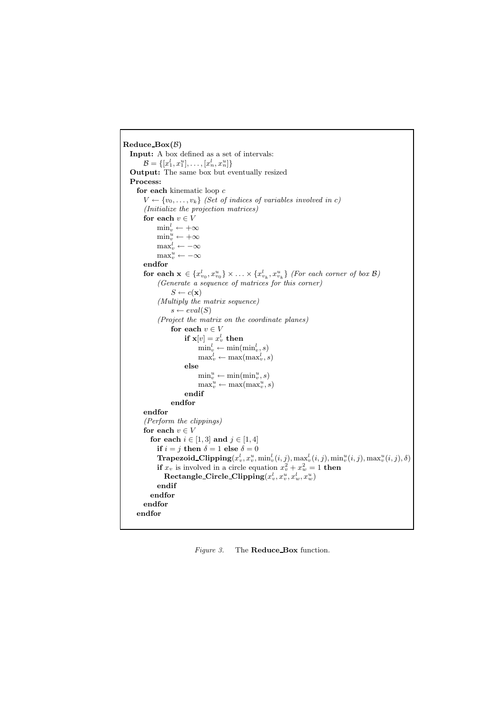```
Reduce_Box(B)Input: A box defined as a set of intervals:
         \mathcal{B} = \{ [x_1^l, x_1^u], \ldots, [x_n^l, x_n^u] \}Output: The same box but eventually resized
  Process:
     for each kinematic loop cV \leftarrow \{v_0, \ldots, v_k\} (Set of indices of variables involved in c)
        (Initialize the projection matrices)
        for each v \in V\min_v^l \leftarrow +\infty\min_v^u \leftarrow +\infty\max_v^l \leftarrow -\infty\max_v^u \leftarrow -\inftyendfor
         for each \mathbf{x} \in \{x_{v_0}^l, x_{v_0}^u\} \times \ldots \times \{x_{v_k}^l, x_{v_k}^u\} (For each corner of box \mathcal{B})
              (Generate a sequence of matrices for this corner)
                   S \leftarrow c(\mathbf{x})(Multiply the matrix sequence)
                   s \leftarrow eval(S)(Project the matrix on the coordinate planes)
                   for each v \in Vif \mathbf{x}[v] = x_v^l then
                               \min_v^l \leftarrow \min(\min_v^l, s)\max_v^l \leftarrow \max(\max_v^l, s)else
                               \min_v^u \leftarrow \min(\min_v^u, s)<br>
\max_v^u \leftarrow \max(\max_v^u, s)endif
                   endfor
        endfor
        (Perform the clippings)
        for each v \in Vfor each i \in [1, 3] and j \in [1, 4]if i = j then \delta = 1 else \delta = 0\textbf{Trapezoid\_Clipping}(x_v^l, x_v^u, \text{min}_v^l(i, j), \text{max}_v^l(i, j), \text{min}_v^u(i, j), \text{max}_v^u(i, j), \delta)if x_v is involved in a circle equation x_v^2 + x_w^2 = 1 then
                 \textbf{Rectangle\_Circle\_Clipping}(x_v^l, x_v^u, x_w^l, x_w^u)endif
           endfor
        endfor
     endfor
```
Figure 3. The **Reduce Box** function.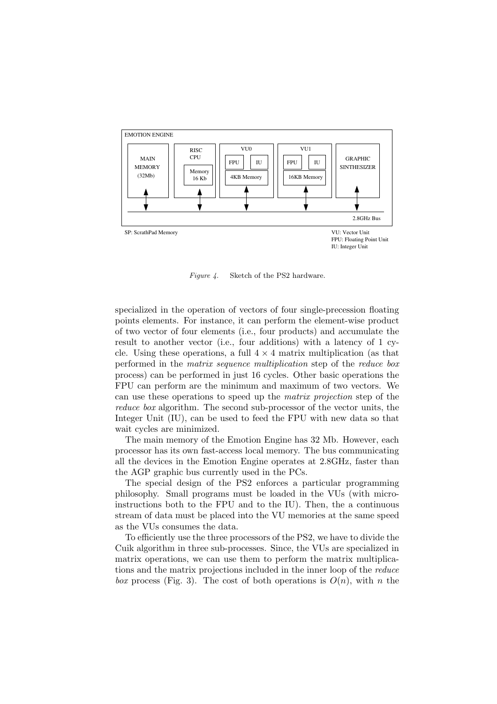

Figure 4. Sketch of the PS2 hardware.

specialized in the operation of vectors of four single-precession floating points elements. For instance, it can perform the element-wise product of two vector of four elements (i.e., four products) and accumulate the result to another vector (i.e., four additions) with a latency of 1 cycle. Using these operations, a full  $4 \times 4$  matrix multiplication (as that performed in the matrix sequence multiplication step of the reduce box process) can be performed in just 16 cycles. Other basic operations the FPU can perform are the minimum and maximum of two vectors. We can use these operations to speed up the matrix projection step of the reduce box algorithm. The second sub-processor of the vector units, the Integer Unit (IU), can be used to feed the FPU with new data so that wait cycles are minimized.

The main memory of the Emotion Engine has 32 Mb. However, each processor has its own fast-access local memory. The bus communicating all the devices in the Emotion Engine operates at 2.8GHz, faster than the AGP graphic bus currently used in the PCs.

The special design of the PS2 enforces a particular programming philosophy. Small programs must be loaded in the VUs (with microinstructions both to the FPU and to the IU). Then, the a continuous stream of data must be placed into the VU memories at the same speed as the VUs consumes the data.

To efficiently use the three processors of the PS2, we have to divide the Cuik algorithm in three sub-processes. Since, the VUs are specialized in matrix operations, we can use them to perform the matrix multiplications and the matrix projections included in the inner loop of the reduce box process (Fig. 3). The cost of both operations is  $O(n)$ , with n the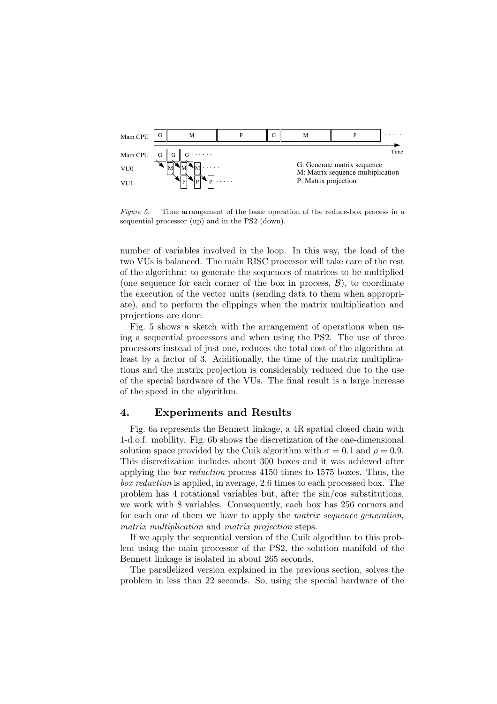

Figure 5. Time arrangement of the basic operation of the reduce-box process in a sequential processor (up) and in the PS2 (down).

number of variables involved in the loop. In this way, the load of the two VUs is balanced. The main RISC processor will take care of the rest of the algorithm: to generate the sequences of matrices to be multiplied (one sequence for each corner of the box in process,  $\mathcal{B}$ ), to coordinate the execution of the vector units (sending data to them when appropriate), and to perform the clippings when the matrix multiplication and projections are done.

Fig. 5 shows a sketch with the arrangement of operations when using a sequential processors and when using the PS2. The use of three processors instead of just one, reduces the total cost of the algorithm at least by a factor of 3. Additionally, the time of the matrix multiplications and the matrix projection is considerably reduced due to the use of the special hardware of the VUs. The final result is a large increase of the speed in the algorithm.

#### 4. Experiments and Results

Fig. 6a represents the Bennett linkage, a 4R spatial closed chain with 1-d.o.f. mobility. Fig. 6b shows the discretization of the one-dimensional solution space provided by the Cuik algorithm with  $\sigma = 0.1$  and  $\rho = 0.9$ . This discretization includes about 300 boxes and it was achieved after applying the box reduction process 4150 times to 1575 boxes. Thus, the box reduction is applied, in average, 2.6 times to each processed box. The problem has 4 rotational variables but, after the sin/cos substitutions, we work with 8 variables. Consequently, each box has 256 corners and for each one of them we have to apply the matrix sequence generation, matrix multiplication and matrix projection steps.

If we apply the sequential version of the Cuik algorithm to this problem using the main processor of the PS2, the solution manifold of the Bennett linkage is isolated in about 265 seconds.

The parallelized version explained in the previous section, solves the problem in less than 22 seconds. So, using the special hardware of the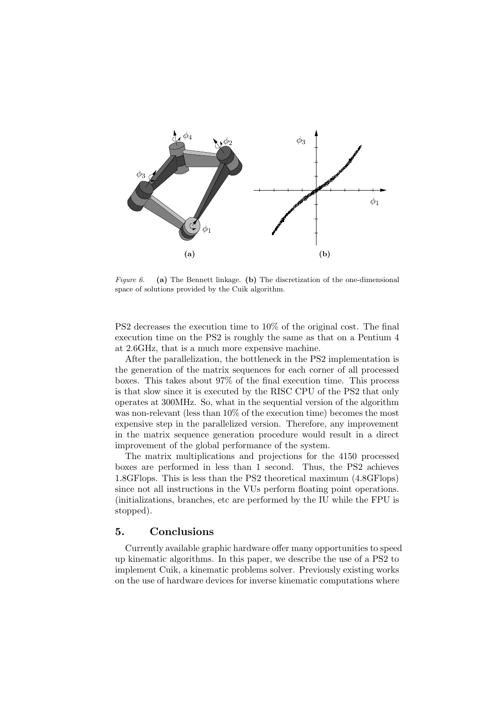

Figure 6. (a) The Bennett linkage. (b) The discretization of the one-dimensional space of solutions provided by the Cuik algorithm.

PS2 decreases the execution time to 10% of the original cost. The final execution time on the PS2 is roughly the same as that on a Pentium 4 at 2.6GHz, that is a much more expensive machine.

After the parallelization, the bottleneck in the PS2 implementation is the generation of the matrix sequences for each corner of all processed boxes. This takes about 97% of the final execution time. This process is that slow since it is executed by the RISC CPU of the PS2 that only operates at 300MHz. So, what in the sequential version of the algorithm was non-relevant (less than 10% of the execution time) becomes the most expensive step in the parallelized version. Therefore, any improvement in the matrix sequence generation procedure would result in a direct improvement of the global performance of the system.

The matrix multiplications and projections for the 4150 processed boxes are performed in less than 1 second. Thus, the PS2 achieves 1.8GFlops. This is less than the PS2 theoretical maximum (4.8GFlops) since not all instructions in the VUs perform floating point operations. (initializations, branches, etc are performed by the IU while the FPU is stopped).

## 5. Conclusions

Currently available graphic hardware offer many opportunities to speed up kinematic algorithms. In this paper, we describe the use of a PS2 to implement Cuik, a kinematic problems solver. Previously existing works on the use of hardware devices for inverse kinematic computations where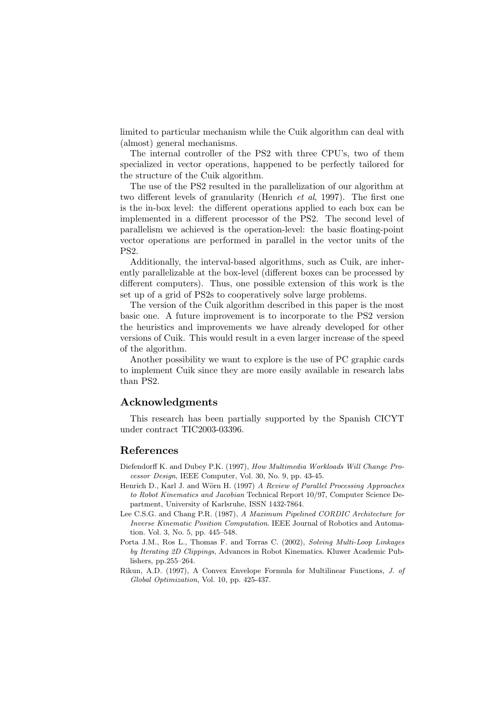limited to particular mechanism while the Cuik algorithm can deal with (almost) general mechanisms.

The internal controller of the PS2 with three CPU's, two of them specialized in vector operations, happened to be perfectly tailored for the structure of the Cuik algorithm.

The use of the PS2 resulted in the parallelization of our algorithm at two different levels of granularity (Henrich et al, 1997). The first one is the in-box level: the different operations applied to each box can be implemented in a different processor of the PS2. The second level of parallelism we achieved is the operation-level: the basic floating-point vector operations are performed in parallel in the vector units of the PS2.

Additionally, the interval-based algorithms, such as Cuik, are inherently parallelizable at the box-level (different boxes can be processed by different computers). Thus, one possible extension of this work is the set up of a grid of PS2s to cooperatively solve large problems.

The version of the Cuik algorithm described in this paper is the most basic one. A future improvement is to incorporate to the PS2 version the heuristics and improvements we have already developed for other versions of Cuik. This would result in a even larger increase of the speed of the algorithm.

Another possibility we want to explore is the use of PC graphic cards to implement Cuik since they are more easily available in research labs than PS2.

### Acknowledgments

This research has been partially supported by the Spanish CICYT under contract TIC2003-03396.

#### References

- Diefendorff K. and Dubey P.K. (1997), How Multimedia Workloads Will Change Processor Design, IEEE Computer, Vol. 30, No. 9, pp. 43-45.
- Henrich D., Karl J. and Wörn H. (1997) A Review of Parallel Processing Approaches to Robot Kinematics and Jacobian Technical Report 10/97, Computer Science Department, University of Karlsruhe, ISSN 1432-7864.
- Lee C.S.G. and Chang P.R. (1987), A Maximum Pipelined CORDIC Architecture for Inverse Kinematic Position Computation. IEEE Journal of Robotics and Automation. Vol. 3, No. 5, pp. 445–548.
- Porta J.M., Ros L., Thomas F. and Torras C. (2002), Solving Multi-Loop Linkages by Iterating 2D Clippings, Advances in Robot Kinematics. Kluwer Academic Publishers, pp.255–264.
- Rikun, A.D. (1997), A Convex Envelope Formula for Multilinear Functions, J. of Global Optimization, Vol. 10, pp. 425-437.